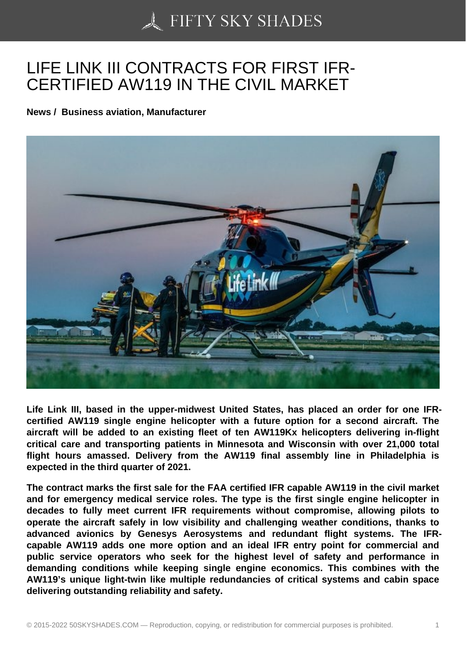## [LIFE LINK III CONTRA](https://50skyshades.com)CTS FOR FIRST IFR-CERTIFIED AW119 IN THE CIVIL MARKET

News / Business aviation, Manufacturer

Life Link III, based in the upper-midwest United States, has placed an order for one IFRcertified AW119 single engine helicopter with a future option for a second aircraft. The aircraft will be added to an existing fleet of ten AW119Kx helicopters delivering in-flight critical care and transporting patients in Minnesota and Wisconsin with over 21,000 total flight hours amassed. Delivery from the AW119 final assembly line in Philadelphia is expected in the third quarter of 2021.

The contract marks the first sale for the FAA certified IFR capable AW119 in the civil market and for emergency medical service roles. The type is the first single engine helicopter in decades to fully meet current IFR requirements without compromise, allowing pilots to operate the aircraft safely in low visibility and challenging weather conditions, thanks to advanced avionics by Genesys Aerosystems and redundant flight systems. The IFRcapable AW119 adds one more option and an ideal IFR entry point for commercial and public service operators who seek for the highest level of safety and performance in demanding conditions while keeping single engine economics. This combines with the AW119's unique light-twin like multiple redundancies of critical systems and cabin space delivering outstanding reliability and safety.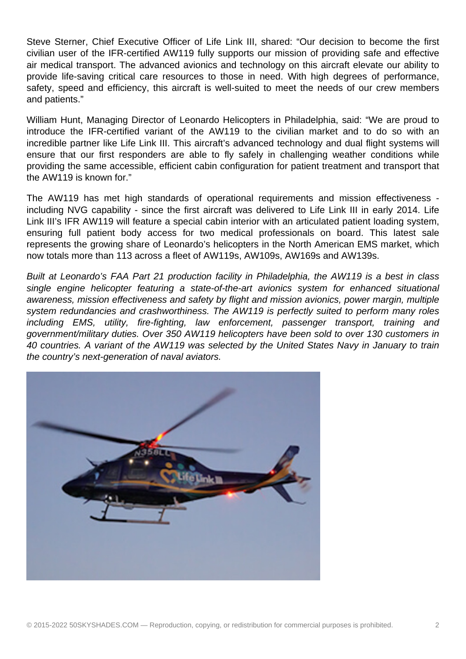Steve Sterner, Chief Executive Officer of Life Link III, shared: "Our decision to become the first civilian user of the IFR-certified AW119 fully supports our mission of providing safe and effective air medical transport. The advanced avionics and technology on this aircraft elevate our ability to provide life-saving critical care resources to those in need. With high degrees of performance, safety, speed and efficiency, this aircraft is well-suited to meet the needs of our crew members and patients."

William Hunt, Managing Director of Leonardo Helicopters in Philadelphia, said: "We are proud to introduce the IFR-certified variant of the AW119 to the civilian market and to do so with an incredible partner like Life Link III. This aircraft's advanced technology and dual flight systems will ensure that our first responders are able to fly safely in challenging weather conditions while providing the same accessible, efficient cabin configuration for patient treatment and transport that the AW119 is known for."

The AW119 has met high standards of operational requirements and mission effectiveness including NVG capability - since the first aircraft was delivered to Life Link III in early 2014. Life Link III's IFR AW119 will feature a special cabin interior with an articulated patient loading system, ensuring full patient body access for two medical professionals on board. This latest sale represents the growing share of Leonardo's helicopters in the North American EMS market, which now totals more than 113 across a fleet of AW119s, AW109s, AW169s and AW139s.

Built at Leonardo's FAA Part 21 production facility in Philadelphia, the AW119 is a best in class single engine helicopter featuring a state-of-the-art avionics system for enhanced situational awareness, mission effectiveness and safety by flight and mission avionics, power margin, multiple system redundancies and crashworthiness. The AW119 is perfectly suited to perform many roles including EMS, utility, fire-fighting, law enforcement, passenger transport, training and government/military duties. Over 350 AW119 helicopters have been sold to over 130 customers in 40 countries. A variant of the AW119 was selected by the United States Navy in January to train the country's next-generation of naval aviators.